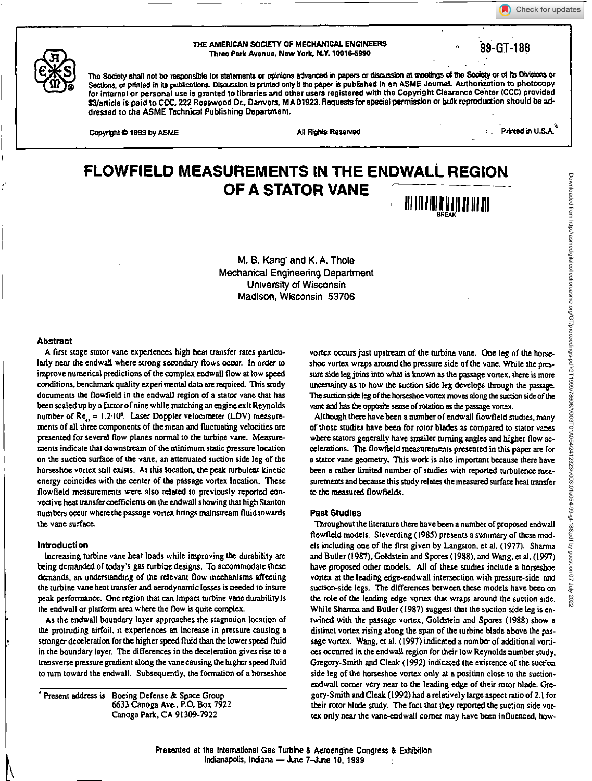Check for updates



# **THE AMERICAN SOCIETY OF MECHANICAL ENGINEERS Three Park Avenue, New York, N.Y. 10019.5990** .99-GT-188

The Society shall not be responsible for statements or opinions advanced in papers or discussion at meetings of the Society or of its Divisions or **Sections, or printed in Its publications. Discussion is printed only if the paper is published In an ASME Journal. Authorization to photocopy for internal or personal use is granted to libraries and other users registered with the Copyright Clearance Center (CCC) provided S3/article is paid to CCC, 222 Rosewood Dr., Danvers, MA 01923. Requests for special permission or bulk reproduction should be addressed to the ASME Technical Publishing Department.** 

Copyright  $\bigcirc$  1999 by ASME All Rights Reserved

Primed in U.S.A. $^{\circ}$ 

# **FLOWFIELD MEASUREMENTS IN THE ENDWALL REGION OF A STATOR VANE Ill 14111101111 111**

**M. B.** Kiang and K. A. Thole Mechanical Engineering Department University of Wisconsin Madison, Wisconsin 53706

## **Abstract**

**A first stage stator vane experiences high heat transfer rates particularly near the endwall** *where* strong secondary flows **occur. In order to improve numerical predictions of the complex endwali flow at low speed conditions, benchmark quality experimental data are required. This study documents the flowfield in the endwall region of a stator vane that has been scaled up by a factor of nine while matching an engine exit Reynolds**  number of Re<sub>r.</sub> = 1.2.10<sup>6</sup>. Laser Doppler velocimeter (LDV) measure**ments of all three components of the mean and fluctuating velocities are presented for several flow planes normal to the turbine vane. Measurements indicate that downstream of the minimum static pressure location on the suction surface of the vane, an attenuated suction side leg of the horseshoe vortex still exists. At this location, the peak turbulent kinetic**  energy coincides with the center of the passage vortex Incation. These **flowfield measurements were also related to previously reported convective heat transfer coefficients on the endwall showing that high Stanton numbers occur where the passage vortex brings mainstream fluid towards the vane surface.** 

# **Introduction**

**Increasing turbine vane heat loads while improving the durability are being demanded of today's gas turbine designs. To accommodate these demands, an understanding of the relevant flow mechanisms affecting the turbine vane heat transfer and aerodynamic losses is needed to insure peak performance. One region that can impact turbine vane durability is the endwall or platform area where the flow is quite complex.** 

**As the endwall boundary layer approaches the stagnation location of the protruding airfoil, it experiences an increase in pressure causing a stronger deceleration for the higher speed fluid than the lower speed fluid in the boundary layer. The differences in the deceleration gives rise to a transverse pressure gradient along the vane causing the higher speed fluid to turn toward the endwall. Subsequently, the formation of a horseshoe** 

**Present address is Boeing Defense & Space Group 6633 Canoga Ave.. P.O. Box 7922 Canoga Park, CA 91309-7922** 

**vortex occurs just upstream of the turbine vane. One leg of the horseshoe vortex wraps around the pressure side of the vane. While the pressure side leg joins into what is known as the passage vortex, there is more uncertainty as to how the suction side leg develops through the passage. The suction side leg of the horseshoe vortex moves along t**h**e suction side of the vane and has the opposite sense of rotation as the passage vortex.** 

**Although there have been a number of endwall flowfield studies, many of those studies have been for rotor blades as compared to stator vanes where stators generally have smaller turning angles and higher flow accelerations. The flowfield measurements presented in this paper are for a stator vane geometry. This work is also important because there have been a rather limited number of studies with reported turbulence measurements and because this study relates the measured surface heat transfer to the measured flowfields.** 

# **Pest Studies**

**'Throughout the literature them have been a number of proposed endwall flowfield models. Sieverding (1985) presents a summary of these models including one of the first given by Langston, et al. (1977). Shama**  and Butler (1987), Goldstein and Spores (1988), and Wang, et al. (1997) **have proposed other models. All of these studies include a horseshoe vortex at the leading edge-endwall intersection with pressure-side and suction-side legs. The differences between these models have** *been* **on the role of the leading edge vortex that wraps around the suction side. While Sharma and Butler (1987) suggest that the suction side leg is entwined with the passage vortex, Goldstein and Spores (1988) show a distinct vortex rising along the span of the turbine blade above the passage vortex. Wang, et al. (1997) indicated a number of additional vortices occurred in the endwall region for their low Reynolds number study. Gregory-Smith and Cleat (1992) indicated the existence of the suction**  side leg of the horseshoe vortex only at a positian close to the suction**endwall corner very near to the leading edge of their rotor blade. Gregory-Smith and Cleat (1992) had a relatively large aspect ratio of 2.1 for their rotor blade study. The fact that they reported the suction side vortex only near the vane-endwall corner may have been influenced, how.**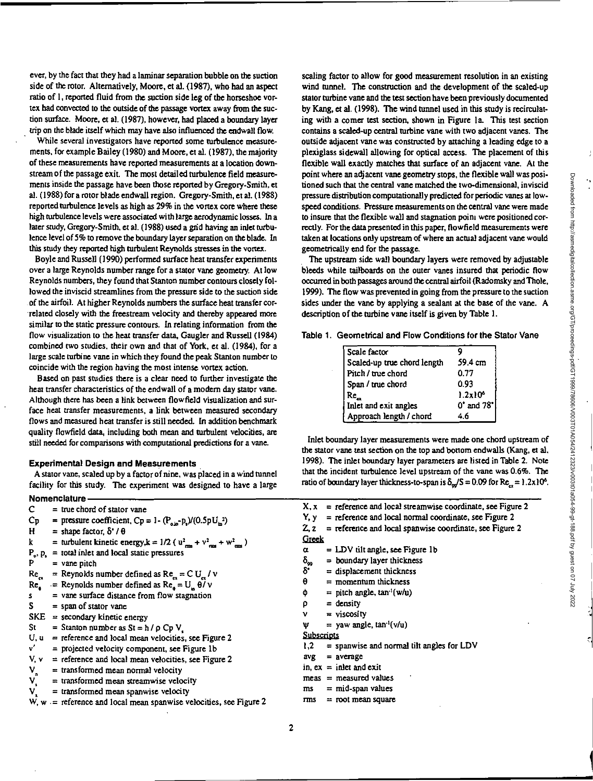ever, by the fact that they had a laminar separation bubble on the suction side of the rotor. Alternatively, Moore, et al. (1987), who had an aspect ratio of 1, reported fluid from the suction side leg of the horseshoe vortex had convected to the outside of the passage vortex away from the suction surface. Moore, et al. (1987), however, had placed a boundary layer trip on the blade itself which may have also influenced the endwall flow.

While several investigators have reported some turbulence measurements, for example Bailey (1980) and Moore, et al. (1987), the majority of these measurements have reported measurements at a location downstream of the passage exit. The most detailed turbulence field measurements inside the passage have been those reported by Gregory-Smith, et al. (1988) for a rotor blade endwall region. Gregory-Smith, et al. (1988) reported turbulence levels as high as 29% in the vortex core where these high turbulence levels were associated with large aerodynamic losses. In a later study, Gregory-Smith, et al. (1988) used a grid having an inlet turbulence level of 5% to remove the boundary layer separation on the blade. In this study they reported high turbulent Reynolds stresses in the vortex.

Boyle and Russell (1990) performed surface heat transfer experiments over a large Reynolds number range for a stator vane geometry. At low Reynolds numbers, they found that Stanton number contours closely followed the inviscid streamlines from the pressure side to the suction side **•** of the airfoil. At higher Reynolds numbers the surface heat transfer correlated closely with the freestream velocity and thereby appeared more similar to the static pressure contours. In relating information from the flow visualization to the heat transfer data. Gaugler and Russell (1984) combined two studies, their own and that of York, et al. (1984), for a *large* scale turbine vane in which they found the peak Stanton number to coincide with the region having the most intense vortex action.

Based on past studies there is a clear need to further investigate the heat transfer characteristics of the endwall of a modern day stator vane. Although there has been a link between flowfield visualization and surface heat transfer measurements, a link between measured secondary flows and measured heat transfer is still needed. In addition benchmark quality flowfield data, including both mean and turbulent velocities, are still needed for comparisons with computational predictions for a vane.

#### **Experimental Design and Measurements**

A stator vane, scaled up by a factor of nine, was placed in a wind tunnel facility for this study. The experiment was designed to have a large

|                                                                                                        | Nomenclature -                                                                                     |  |  |
|--------------------------------------------------------------------------------------------------------|----------------------------------------------------------------------------------------------------|--|--|
| C.                                                                                                     | $=$ true chord of stator vane                                                                      |  |  |
| $C_{\bf p}$                                                                                            | = pressure coefficient, $Cp = 1 - (P_{\text{air}} - p_x)/(0.5pU_x^2)$                              |  |  |
| H.                                                                                                     | $=$ shape factor $\delta'/\theta$                                                                  |  |  |
| $\mathbf{k}$                                                                                           | = turbulent kinetic energy, $k = 1/2$ ( $u_{\text{rms}}^2 + v_{\text{rms}}^2 + w_{\text{rms}}^2$ ) |  |  |
|                                                                                                        | $P_o$ , $p_i$ = total inlet and local static pressures                                             |  |  |
| P                                                                                                      | $=$ vane pitch                                                                                     |  |  |
| $Re_a$                                                                                                 | = Reynolds number defined as $Re_a = C U_a / v$                                                    |  |  |
| $Re_{\bullet}$                                                                                         | = Reynolds number defined as $Re_a = U_a \theta / v$                                               |  |  |
| s.                                                                                                     | = vane surface distance from flow stagnation                                                       |  |  |
| S.                                                                                                     | = span of stator vane                                                                              |  |  |
|                                                                                                        | $SKE =$ secondary kinetic energy                                                                   |  |  |
| St                                                                                                     | = Stanton number as $St = h / \rho Cp V$ .                                                         |  |  |
| U, u                                                                                                   | $=$ reference and local mean velocities, see Figure 2                                              |  |  |
| v.                                                                                                     | = projected velocity component, see Figure 1b                                                      |  |  |
| V, V                                                                                                   | $=$ reference and local mean velocities, see Figure 2                                              |  |  |
|                                                                                                        | = transformed mean normal velocity                                                                 |  |  |
|                                                                                                        | = transformed mean streamwise velocity                                                             |  |  |
| $\begin{array}{c} \mathsf{V}_\mathrm{n} \\ \mathsf{V}_\mathrm{s} \\ \mathsf{V}_\mathrm{x} \end{array}$ | = transformed mean spanwise velocity                                                               |  |  |
|                                                                                                        | $W, w =$ reference and local mean spanwise velocities, see Figure 2                                |  |  |

scaling factor to allow for good measurement resolution in an existing wind tunnel. The construction and the development of the scaled-up stator turbine vane and the test section have been previously documented by Kang, et al. (1998). The wind tunnel used in this study is recirculating with a corner test section, shown in Figure la. This test section contains a scaled-up central turbine vane with two adjacent vanes. The outside adjacent vane was constructed by attaching a leading edge to a plexiglass sidewall allowing for optical access. The placement of this flexible wall exactly matches that surface of an adjacent vane. At the point where an adjacent vane geometry stops, the flexible wall was positioned such that the central vane matched the two-dimensional, inviscid pressure distribution computationally predicted for periodic vanes at lowspeed conditions. Pressure measurements on the central vane were made to insure that the flexible wall and stagnation point were positioned correctly. For the data presented in this paper, flowfield measurements were taken at locations only upstream of where an actual adjacent vane would geometrically end for the passage.

The upstream side wall boundary layers were removed by adjustable bleeds while tailboards on the outer vanes insured that periodic flow occurred in both passages around the central airfoil (Radomsky and Thole, 1999). The flow was prevented in going from the pressure to the suction sides under the vane by applying a sealant at the base of the vane. A description of the turbine vane itself is given by Table I.

| Table 1. Geometrical and Flow Conditions for the Stator Vane |  |
|--------------------------------------------------------------|--|
|--------------------------------------------------------------|--|

| Scale factor                |            |
|-----------------------------|------------|
| Scaled-up true chord length | 59.4 cm    |
| Pitch / true chord          | 0.77       |
| Span / true chord           | 0.93       |
| Re <sub>a</sub>             | $1.2x10^6$ |
| Inlet and exit angles       | 0° and 78° |
| Approach length / chord     |            |

Inlet boundary layer measurements were made one chord upstream of the stator vane test section on the top and bottom endwalls (Wang, et a), 1998). The inlet boundary layer parameters are listed in Table 2. Note that the incident turbulence level upstream of the vane was 0.6%. The ratio of boundary layer thickness-to-span is  $\delta_{\omega}/S = 0.09$  for  $Re_{\epsilon} = 1.2 \times 10^6$ .

|                    | $X, x =$ reference and local streamwise coordinate, see Figure 2  |
|--------------------|-------------------------------------------------------------------|
|                    | $Y, y =$ reference and local normal coordinate, see Figure 2      |
|                    | $Z$ , $z =$ reference and local spanwise coordinate, see Figure 2 |
| Greek              |                                                                   |
| α                  | $=$ LDV tilt angle, see Figure 1b                                 |
| $\delta_{\rm{99}}$ | $=$ boundary layer thickness                                      |
| δ                  | $=$ displacement thickness                                        |
| θ                  | $=$ momentum thickness                                            |
| Φ                  | = pitch angle, $tan^{-1}(w/u)$                                    |
| p                  | $=$ density                                                       |
| ν                  | $=$ viscosity                                                     |
| Ψ                  | $=$ yaw angle, $tan^{-1}(v/u)$                                    |
| <b>Subscripts</b>  |                                                                   |
| 1.2                | $=$ spanwise and normal tilt angles for LDV                       |
|                    | $avg = average$                                                   |
|                    | in, $ex =$ inlet and exit                                         |
|                    | $meas = measured values$                                          |
| ms                 | $=$ mid-span values                                               |
| mns                | $=$ root mean square                                              |
|                    |                                                                   |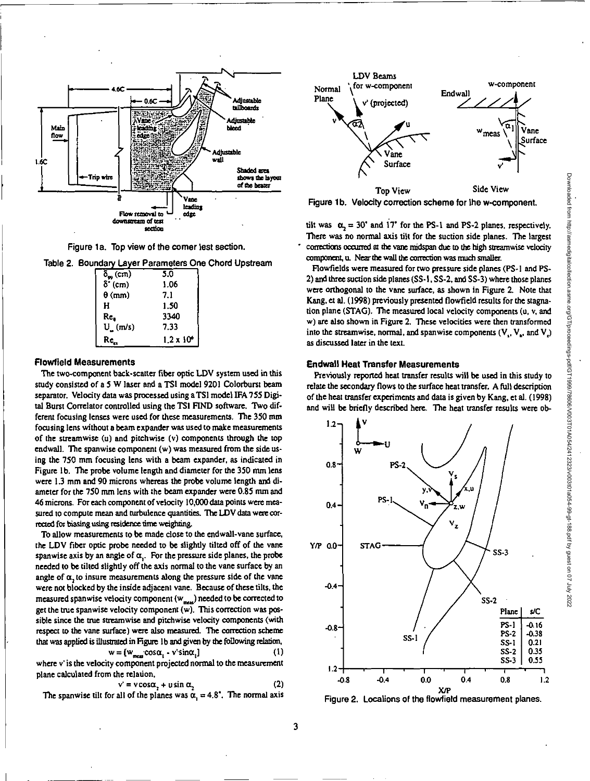

Downloaded from http://asmedigitalcollection.asme.org/GT/proceedings-pdf/GT1999/78606/V003T01A054/2412323/v003t01a054-99-gt-188.pdf by guest on 07 July 2022

Downloaded from http://asmedigitalcollection.asme.org/GTrproceedings-pdf/19781986/Y003101408908014032012020191<br>Downloaded from http://asmedigitalcollection.asme.org/GP709979987088709810910910910999801019991010910910101919



Figure 1a. Top view of the comer lest section.

Table 2. Boundary Layer Parameters One Chord Upstream

| $\delta_{\rm ee}$ (cm)                      | 5.0               |
|---------------------------------------------|-------------------|
| $\delta$ <sup><math>\cdot</math></sup> (cm) | 1.06              |
| $\theta$ (mm)                               | 7.1               |
| н                                           | 1.50              |
| Re,                                         | 3340              |
| U(m/s)                                      | 7.33              |
| $Re_a$                                      | $1.2 \times 10^6$ |

## Flowfield Measurements

The two-component back-scatter fiber optic LDV system used in this study consisted of a 5 W laser and a TSI model 9201 Colorburst beam separator. Velocity data was processed using a TS1 model IFA 755 Digital Burst Correlator controlled using the TS1 FIND software. Two different focusing lenses were used for these measurements. The 350 mm focusing lens without a beam expander was used to make measurements of the streamwise (u) and pitchwise (v) components through the top endwall. The spanwise component (w) was measured from the side using the 750 mm focusing lens with a beam expander, as indicated in Figure lb. The probe volume length and diameter for the 350 mm lens were 1.3 mm and 90 microns whereas the probe volume length and diameter for the 750 mm lens with the beam expander were 0.85 mm and 46 microns. For each component of velocity 10,000 data points were measured to compute mean and turbulence quantities. The LDV data were corrected for biasing using residence time weighting.

To allow measurements to be made close to the endwall-vane surface, the LDV fiber optic probe needed to be slightly tilted off of the vane spanwise axis by an angle of  $\alpha$ . For the pressure side planes, the probe needed to be tilted slightly off the axis normal to the vane surface by an angle of  $\alpha$ , to insure measurements along the pressure side of the vane were not blocked by the inside adjacent vane. Because of these tilts, the measured spanwise velocity component (w<sub>ness</sub>) needed to be corrected to get the true spanwise velocity component  $(w)$ . This correction was possible since the nue strearnwise and pitchwise velocity components (with respect to the vane surface) were also measured. The correction scheme that was applied is illustrated in Figure 1b and given by the following relation,

$$
w = [w_{max} \cos \alpha_1 - v' \sin \alpha_1]
$$
 (1)

where v' is the velocity component projected normal to the measurement plane calculated from the relation,

$$
v' = v \cos \alpha_2 + u \sin \alpha_2 \tag{2}
$$

The spanwise tilt for all of the planes was  $\alpha = 4.8^{\circ}$ . The normal axis



Figure 1b. Velocity correction scheme for the w-component.

tilt was  $\alpha_2 = 30^{\circ}$  and 17° for the PS-1 and PS-2 planes, respectively. There was no normal axis tilt for the suction side planes. The largest corrections occurred at the vane midspan due to the high streamwise velocity component, u. Near the wall the correction was much smaller.

Flowfields were measured for two pressure side planes (PS-1 and PS-2) and three suction side planes (55-1, SS-2, and 55-3) where those planes were orthogonal to the vane surface, as shown in Figure 2. Note that Kang, et al. (1998) previously presented flowfield results for the stagnation plane (STAG). The measured local velocity components (u, v, and w) are also shown in Figure 2. These velocities were then transformed into the streamwise, normal, and spanwise components  $(V_1, V_a,$  and  $V_i)$ as discussed later in the text.

# **Endwall Heat Transfer Measurements**

Previously reported heat transfer results will be used in this study to relate the secondary flows to the surface heat transfer. A full description of the heat transfer experiments and data is given by Kang, et al (1998) and will be briefly described here. The heat transfer results were ob-



Figure 2. Locations of the flowfield measurement planes.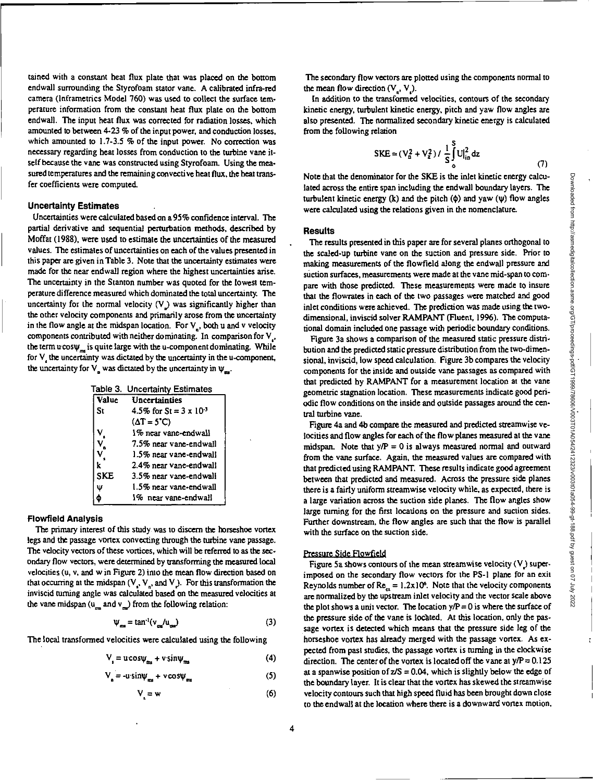(7)

tamed with a constant heat flux plate that was placed on the bottom endwall surrounding the Styrofoam stator vane. A calibrated infra-red camera (Inframetrics Model 760) was used to collect the surface temperature information from the constant heat flux plate on the bottom endwall. The input heat flux was corrected for radiation losses, which amounted to between 4-23 % of the input power, and conduction losses, which amounted to  $1.7-3.5$  % of the input power. No correction was necessary regarding heat losses from conduction to the turbine vane itself because the vane was constructed using Styrofoam. Using the measured temperatures and the remaining convective heat flux, the heat transfer coefficients were computed.

# **Uncertainty Estimates**

Uncertainties were calculated based on a95% confidence interval. The partial derivative and sequential perturbation methods, described by Moffat (1988), were used to estimate the uncertainties of the measured values. The estimates of uncertainties on each of the values presented in this paper are given in Table 3. Note that the uncertainty estimates were made for the near endwall region where the highest uncertainties arise. The uncertainty in the Stanton number was quoted for the lowest temperature difference measured which dominated the total uncertainty. The uncertainty for the normal velocity  $(V)$  was significantly higher than the other velocity components and primarily arose from the uncertainty in the flow angle at the midspan location. For  $V_n$ , both u and v velocity components contributed with neither dominating. In comparison for V., the term  $ucos\psi_m$  is quite large with the u-component dominating. While for V, the uncertainty was dictated by the uncertainty in the u-component, the uncertainty for  $V_a$  was dictated by the uncertainty in  $\psi_{ma}$ .

|  | Table 3. Uncertainty Estimates |  |
|--|--------------------------------|--|
|  |                                |  |

| Value      | Uncertainties                    |
|------------|----------------------------------|
| Sτ         | 4.5% for St = $3 \times 10^{-3}$ |
|            | $(\Delta T = 5^{\circ}C)$        |
|            | 1% near vane-endwall             |
|            | 7.5% near vane-endwall           |
|            | 1.5% near vane-endwall           |
| k          | 2.4% near vane-endwall           |
| <b>SKF</b> | 3.5% near vane-endwall           |
| Ŵ          | 1.5% near vane-endwall           |
|            | 1% near vane-endwall             |

# **Flowfield Analysis**

The primary interest of this study was to discern the horseshoe vortex legs and the passage vortex convecting through the turbine vane passage. The velocity vectors of these vortices, which will be referred to as the secondary flow vectors, were determined by transforming the measured local velocities (u, v, and w in Figure 2) into the mean flow direction based on that occurring at the midspan  $(V_1, V_n)$ , and  $V_2$ . For this transformation the inviscid turning angle was calculated based on the measured velocities at the vane midspan ( $u$  and  $v$ ) from the following relation:

$$
\Psi_{\mathbf{m}} = \tan^{-1}(v_{\mathbf{m}}/u_{\mathbf{m}}) \tag{3}
$$

The local transformed velocities were calculated using the following

$$
V_{\rm s} = u\cos\psi_{\rm ms} + v\sin\psi_{\rm ms} \tag{4}
$$

$$
V_{n} = -u \sin \psi_{n} + v \cos \psi_{n} \tag{5}
$$

$$
V = w \tag{6}
$$

The secondary flow vectors are plotted using the components normal to the mean flow direction  $(V, V)$ .

In addition to the transformed velocities, contours of the secondary kinetic energy, turbulent kinetic energy, pitch and yaw flow angles are also presented. The normalized secondary kinetic energy is calculated from the following relation

$$
SKE = (V_a^2 + V_z^2) / \frac{1}{S} \int_0^S U_{in}^2 dz
$$

Note that the denominator for the SKE is the inlet kinetic energy calculated across the entire span including the endwall boundary layers. The turbulent kinetic energy (k) and the pitch  $(\phi)$  and yaw  $(\psi)$  flow angles were calculated using the relations given in the nomenclature.

#### **Results**

The results presented in this paper are for several planes orthogonal to the scaled-up turbine vane on the suction and pressure side. Prior to making measurements of the flowfield along the endwall pressure and suction surfaces, measurements were made at the vane mid-span to compare with those predicted. These measurements were made to insure that the flowrates in each of the two passages were matched and good inlet conditions were achieved. The prediction was made using the twodimensional, inviscid solver RAMPANT (Fluent, 1996). The computational domain included one passage with periodic boundary conditions.

Figure 3a shows a comparison of the measured static pressure distribution and the predicted static pressure distribution from the two-dimensional, inviscid, low speed calculation. Figure 3b compares the velocity components for the inside and outside vane passages as compared with that predicted by RAMPANT for a measurement location at the vane geometric stagnation location. These measurements indicate good periodic flow conditions on the inside and outside passages around the central turbine vane.

Figure 4a and 4b compare the measured and predicted streamwise velocities and flow angles for each of the flow planes measured at the vane midspan. Note that  $y/P = 0$  is always measured normal and outward from the vane surface. Again, the measured values are compared with that predicted using RAMPANT. These results indicate good agreement between that predicted and measured. Across the pressure side planes there is a fairly uniform streamwise velocity while, as expected, there is a large variation across the suction side planes. The flow angles show large turning for the first locations on the pressure and suction sides. Further downstream, the flow angles are such that the flow is parallel with the surface on the suction side.

## Pressure Side Flowfield

Figure 5a shows contours of the mean streamwise velocity (V.) superimposed on the secondary flow vectors for the PS-1 plane for an exit Reynolds number of  $Re_{z} = 1.2x10^6$ . Note that the velocity components are normalized by the upstream inlet velocity and the vector scale above the plot shows a unit vector. The location  $y/P = 0$  is where the surface of the pressure side of the vane is located. At this location, only the passage vortex is detected which means that the pressure side leg of the horseshoe vortex has already merged with the passage vortex. As expected from past studies, the passage vortex is turning in the clockwise direction. The center of the vortex is located off the vane at  $y/P = 0.125$ at a spanwise position of  $z/S = 0.04$ , which is slightly below the edge of the boundary layer. It is clear that the vortex has skewed the streamwise velocity contours such that high speed fluid has been brought down close to the endwall at the location where there is a downward vortex motion.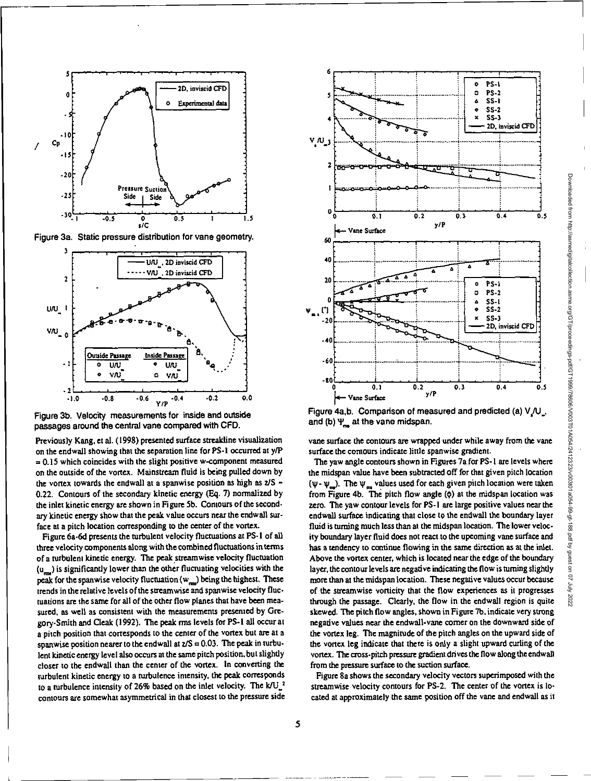



Figure 3b. Velocity measurements for inside and outside passages around the central vane compared with CFD.

Previously Kang, et al. (1998) presented surface streakline visualization on the endwall showing that the separation line for PS-I occurred at y/P  $= 0.15$  which coincides with the slight positive w-component measured on the outside of the vortex. Mainstream fluid is being pulled down by the vortex towards the endwall at a spanwise position as high as  $2/S -$ 0.22. Contours of the secondary kinetic energy (Eq. 7) normalized by the inlet kinetic energy are shown in Figure 5b. Contours of the secondary kinetic energy show that the peak value occurs near the endwall surface at a pitch location corresponding to the center of the vortex.

Figure 6a-6d presents the turbulent velocity fluctuations at PS-1 of all three velocity components along with the combined fluctuations in terms of a turbulent kinetic energy. The peak streamwise velocity fluctuation (u<sub>rm</sub>) is significantly lower than the other fluctuating velocities with the peak for the spanwise velocity fluctuation  $(w_{max})$  being the highest. These trends in the relative levels of the streamwise and spanwise velocity fluctuations are the sarne for all of the other flow planes that have been measured. as well as consistent with the measurements presented by Gregory-Smith and Cleak (1992). The peak rms levels for PS-1 all occur at a pitch position that corresponds to the center of the vortex but are at a spanwise position nearer to the endwall at  $z/S = 0.03$ . The peak in turbulent kinetic energy level also occurs at the same pitch position, but slightly closer to the endwall than the center of the vortex. In converting the turbulent kinetic energy to a turbulence intensity, the peak corresponds to a turbulence intensity of 26% based on the inlet velocity. The  $k/U_{1}^2$ contours are somewhat asymmetrical in that closest to the pressure side



Figure 4a,b. Comparison of measured and predicted (a)  $V/U$ and (b)  $\Psi_{\text{max}}$  at the vane midspan.

vane surface the contours are wrapped under while away from the vane surface the contours indicate little spanwise gradient.

The yaw angle contours shown in Figures 7a for PS-1 are levels where the midspan value have been subtracted off for that given pitch location ( $\psi$ -  $\psi$ <sub>m</sub>). The  $\psi$ <sub>m</sub> values used for each given pitch location were taken from Figure 4b. The pitch flow angle ( $\phi$ ) at the midspan location was zero. The yaw contour levels for PS-1 are large positive values near the endwall surface indicating that close to the endwall the boundary layer fluid is turning much less than at the midspan location. The lower velocity boundary layer fluid does not react to the upcoming vane surface and has a tendency to continue flowing in the same direction as at the inlet. Above the vortex center, which is located near the edge of the boundary layer, the contour levels are negative indicating the flow is turning slightly more than at the midspan location. These negative values occur because of the streamwise vorticity that the flow experiences as it progresses through the passage. Clearly, the flow in the endwall region is quite skewed. The pitch flow angles, shown in Figure 7b, indicate very strong negative values near the endwall-vane comer on the downward side of the vortex leg. The magnitude of the pitch angles on the upward side of the vortex leg indicate that there is only a slight upward curling of the vortex. The cross-pitch pressure gradient drives the flow along the endwall from the pressure surface to the suction surface.

Figure 8a shows the secondary velocity vectors superimposed with the streamwise velocity contours for PS-2. The center of the vortex is located at approximately the same position off the vane and endwall as it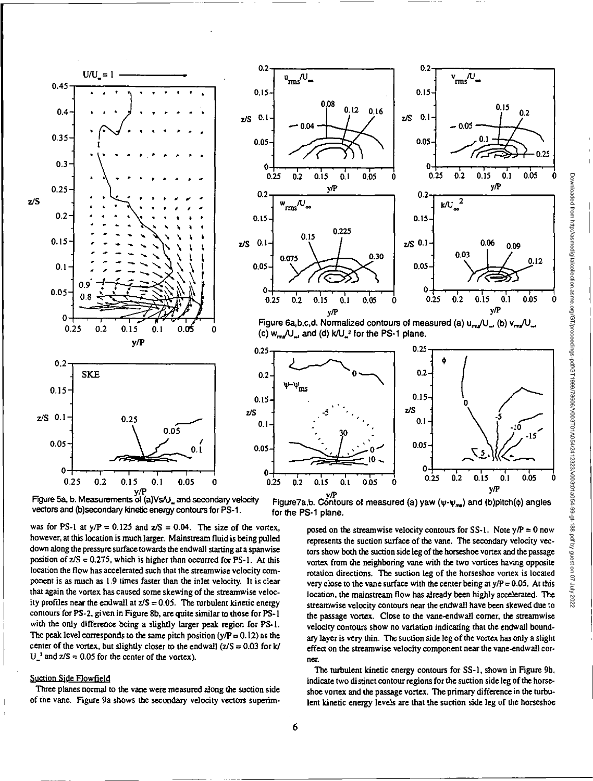

Figure 5a, b. Measurements of (a)Vs/U\_ and secondary velocity vectors and (b)secondary kinetic energy contours for PS-1.

was for PS-1 at  $y/P = 0.125$  and  $z/S = 0.04$ . The size of the vortex, however, at this location is much larger. Mainstream fluid is being pulled down along the pressure surface towards the endwall starting at a spanwise position of  $z/S = 0.275$ , which is higher than occurred for PS-1. At this location the flow has accelerated such that the streamwise velocity component is as much as 1.9 times faster than the inlet velocity. It is clear that again the vortex has caused some skewing of the streamwise velocity profiles near the endwall at  $z/S = 0.05$ . The turbulent kinetic energy contours for PS-2, given in Figure 8b, are quite similar to those for PS-1 with the only difference being a slightly larger peak region for PS-1. The peak level corresponds to the same pitch position ( $y/P = 0.12$ ) as the center of the vortex, but slightly closer to the endwall  $(2/S = 0.03$  for k/  $U_n^2$  and  $z/S = 0.05$  for the center of the vortex).

# Suction Side Flowfield

Three planes normal to the vane were measured along the suction side of the vane. Figure 9a shows the secondary velocity vectors superim-



Figure 6a,b,c,d. Normalized contours of measured (a)  $u_{mg}/U_{m}$  (b)  $v_{mg}/U_{m}$ (c)  $w_{\text{max}}/U_{\text{max}}$ , and (d)  $k/U_{\text{max}}^2$  for the PS-1 plane.



i<sup>ty</sup> Figure7a,b. Contours of measured (a) yaw (ψ-ψ<sub>ma</sub>) and (b)pitch(φ) angles for the PS-1 plane.

posed on the streamwise velocity contours for SS-1. Note  $y/P = 0$  now represents the suction surface of the vane. The secondary velocity vectors show both the suction side leg of the horseshoe vortex and the passage vortex from the neighboring vane with the two vortices having opposite rotation directions. The suction leg of the horseshoe vortex is located very close to the vane surface with the center being at  $y/P = 0.05$ . At this location, the mainstream flow has already been highly accelerated. The streamwise velocity contours near the endwall have been skewed due to the passage vortex. Close to the vane-endwall corner, the streamwise velocity contours show no variation indicating that the endwall boundary layer is very thin. The suction side leg of the vortex has only a slight effect on the streamwise velocity component near the vane-endwall corner.

The turbulent kinetic energy contours for SS-1, shown in Figure 9b, indicate two distinct contour regions for the suction side leg of the horseshoe vortex and the passage vortex. The primary difference in the turbulent kinetic energy levels are that the suction side leg of the horseshoe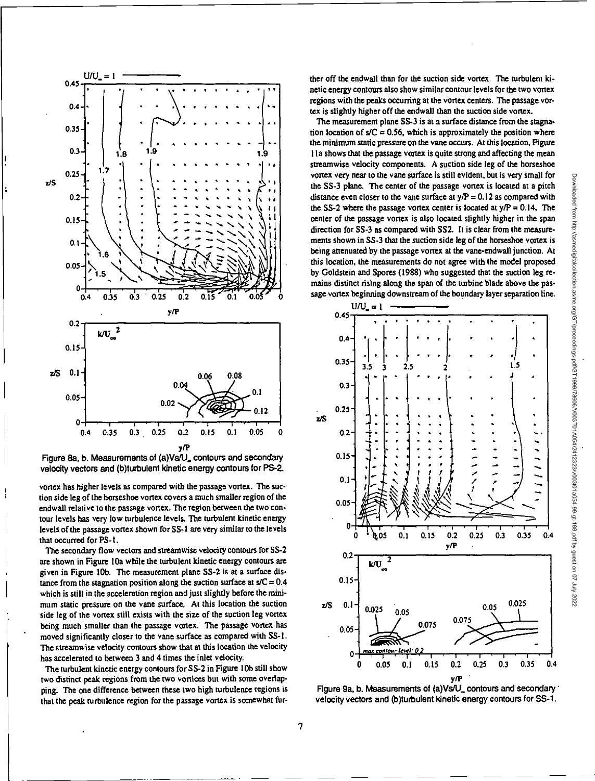

Figure 8a, b. Measurements of (a)Vs/U\_ contours and secondary velocity vectors and (b)turbulent kinetic energy contours for PS-2.

vortex has higher levels as compared with the passage vortex. The suction side leg of the horseshoe vortex covers a much smaller region of the endwall relative to the passage vortex. The region between the two contour levels has very low turbulence levels, The turbulent kinetic energy levels of the passage vortex shown for 88-1 are very similar to the levels that occurred for PS-I.

The secondary flow vectors and streamwise velocity contours for SS-2 are shown in Figure 10a while the turbulent kinetic energy contours are given in Figure 10b. The measurement plane SS-2 is at a surface distance from the stagnation position along the suction surface at  $s/C = 0.4$ which is still in the acceleration region and just slightly before the minimum static pressure on the vane surface. At this location the suction side leg of the vortex still exists with the size of the suction leg vortex being much smaller than the passage vortex. The passage vortex has moved significantly closer to the vane surface as compared with SS-1. The streamwise velocity contours show that at this location the velocity has accelerated to between 3 and 4 times the inlet velocity. The stream of the value strike of the size of the suction of the size of the suction leg vortex<br>
being much smaller than the passage vortex. The passage vortex has<br>
moved significantly closer to the vane surface as compar

The turbulent kinetic energy contours for 55-2 in Figure 10b still show ping. The one difference between these two high turbulence regions is Figure 9a, b. Measurements of (a)Vs/U\_ contours and secondary '<br>that the peak turbulence region for the passage vortex is somewhat fur-velocity vectors that the peak turbulence region for the passage vortex is somewhat fur-

ther off the endwall than for the suction side vortex. The turbulent kinetic energy contours also show similar contour levels for the two vortex regions with the peaks occurring at the vortex centers. The passage vortex is slightly higher off the endwall than the suction side vortex.

The measurement plane SS-3 is at a surface distance from the stagnation location of  $s/C = 0.56$ , which is approximately the position where the minimum static pressure on the vane occurs. At this location, Figure I la shows that the passage vortex is quite strong and affecting the mean streamwise velocity components. A suction side leg of the horseshoe vortex very near to the vane surface is still evident, but is very small for the 85-3 plane. The center of the passage vortex is located at a pitch distance even closer to the vane surface at  $y/P = 0.12$  as compared with the SS-2 where the passage vortex center is located at  $y/P = 0.14$ . The center of the passage vortex is also located slightly higher in the span direction for 55-3 as compared with 552. It is clear from the measurements shown in 58-3 that the suction side leg of the horseshoe vortex is being attenuated by the passage vortex at the vane-endwall junction. At this location, the measurements do not agree with the model proposed by Goldstein and Spores (1988) who suggested that the suction leg remains distinct rising along the span of the turbine blade above the passage vortex beginning downstream of the boundary layer separation line.



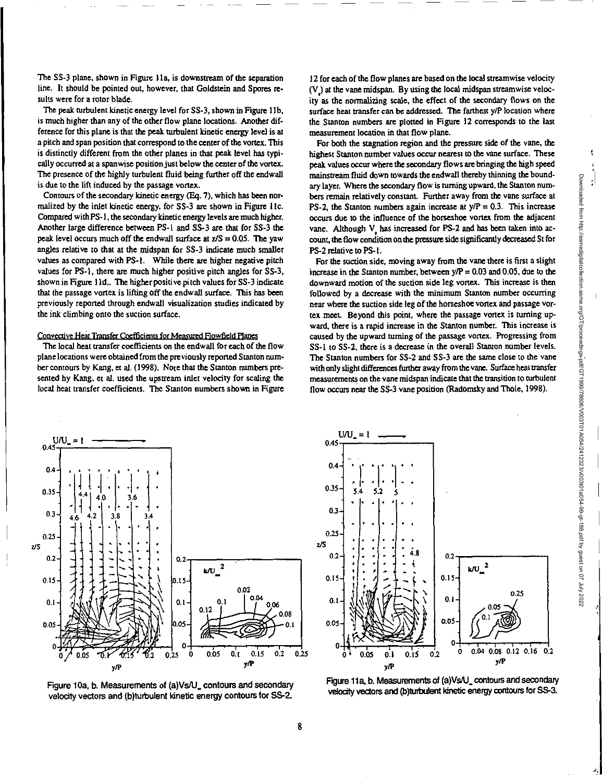ť

The SS-3 plane, shown in Figure 11a, is downstream of the separation line. It should be pointed out, however, that Goldstein and Spores results were for a rotor blade.

The peak turbulent kinetic energy level for 55-3, shown in Figure 1lb, is much higher than any of the other flow plane locations. Mother difference for this plane is that the peak turbulent kinetic energy level is at a pitch and span position that correspond to the center of the vortex. This is distinctly different from the other planes in that peak level has typically occurred at a spanwise position just below the center of the vortex. The presence of the highly turbulent fluid being further off the endwall is due to the lift induced by the passage vortex.

Contours of the secondary kinetic energy (Eq. 7), which has been normalized by the inlet kinetic energy, for 55-3 are shown in Figure 11c. Compared with PS-1, the secondary *kinetic energy* levels are much higher. Mother large difference between PS-1 and 55-3 are that for 55-3 the peak level occurs much off the endwall surface at  $z/S = 0.05$ . The yaw angles relative to that at the midspan for 55-3 indicate much smaller values as compared with PS-I. While there are higher negative pitch values for PS-1, there are much higher positive pitch angles for 55-3, shown in Figure I Id,. The higher positive pitch values for SS-3 indicate that the passage vortex is lifting off the endwall surface. This has been previously reported through endwall visualization studies indicated by the ink climbing onto the suction surface.

# Convective Heat Transfer Coefficients for Measured Flowfield Planes

The local heat transfer coefficients on the endwall for each of the flow plane locations were obtained from the previously reported Stanton number contours by Kang, et al. (1998). Note that the Stanton numbers presented by Kang, et al. used the upstream inlet velocity for scaling the local heat transfer coefficients. The Stanton numbers shown in Figure 12 for each of the flow planes are based on the local streamwise velocity (V) at the vane midspan. By using the local midspan streamwise velocity as the normalizing scale, the effect of the secondary flows on the surface heat transfer can be addressed. The farthest y/P location where the Stanton numbers are plotted in Figure 12 corresponds to the last measurement location in that flow plane.

For both the stagnation region and the pressure side of the vane, the highest Stanton number values occur nearest to the vane surface. These peak values occur where the secondary flows are bringing the high speed mainstream fluid down towards the endwall thereby thinning the boundary layer. Where the secondary flow is turning upward, the Stanton numbers remain relatively constant. Further away from the vane surface at PS-2, the Stanton numbers again increase at  $y/P = 0.3$ . This increase occurs due to the influence of the horseshoe vortex from the adjacent vane. Although V has increased for PS-2 and has been taken into account, the flow condition on the pressure side significantly decreased St for P5-2 relative to PS-1.

For the suction side, moving away from the vane there is first a slight increase in the Stanton number, between  $y/P = 0.03$  and 0.05, due to the downward motion of the suction side leg vortex. This increase is then followed by a decrease with the minimum Stanton number occurring near where the suction side leg of the horseshoe vortex and passage vortex meet. Beyond this point, where the passage vortex is turning upward, there is a rapid increase in the Stanton number. This increase is caused by the upward turning of the passage vortex. Progressing from SS-1 to SS-2, there is a *decrease* in the overall Stanton number levels. The Stanton numbers for SS-2 and SS-3 are the same close to the vane with only slight differences further away from the vane. Surface heat transfer measurements on the vane midspan indicate that the transition to turbulent flow occurs near the SS-3 vane position (Radomsky and Thole, 1998).



Figure 10a, b. Measurements of (a)Vs/U\_ contours and secondary velocity vectors and (b)turbulent kinetic energy contours for SS-2.



Figure 11a, b. Measurements of (a)Vs/U\_ contours and secondary velocity vectors and (b)turbulent kinetic energy contours for SS-3.